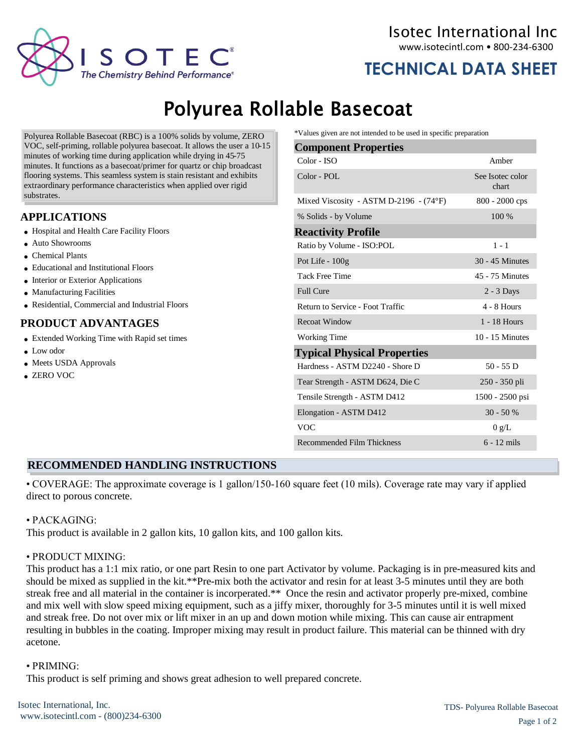

**TECHNICAL DATA SHEET**

# Polyurea Rollable Basecoat

Polyurea Rollable Basecoat (RBC) is a 100% solids by volume, ZERO VOC, self-priming, rollable polyurea basecoat. It allows the user a 10-15 minutes of working time during application while drying in 45-75 minutes. It functions as a basecoat/primer for quartz or chip broadcast flooring systems. This seamless system is stain resistant and exhibits extraordinary performance characteristics when applied over rigid substrates.

# **APPLICATIONS**

- Hospital and Health Care Facility Floors
- Auto Showrooms
- Chemical Plants
- Educational and Institutional Floors
- Interior or Exterior Applications
- Manufacturing Facilities
- Residential, Commercial and Industrial Floors

## **PRODUCT ADVANTAGES**

- Extended Working Time with Rapid set times
- Low odor
- Meets USDA Approvals
- ZERO VOC

\*Values given are not intended to be used in specific preparation

| <b>Component Properties</b>                     |                           |  |  |
|-------------------------------------------------|---------------------------|--|--|
| Color - ISO                                     | Amber                     |  |  |
| Color - POL                                     | See Isotec color<br>chart |  |  |
| Mixed Viscosity - ASTM D-2196 - $(74^{\circ}F)$ | $800 - 2000$ cps          |  |  |
| 100 %<br>% Solids - by Volume                   |                           |  |  |
| <b>Reactivity Profile</b>                       |                           |  |  |
| Ratio by Volume - ISO:POL                       | $1 - 1$                   |  |  |
| Pot Life - 100g                                 | 30 - 45 Minutes           |  |  |
| <b>Tack Free Time</b>                           | 45 - 75 Minutes           |  |  |
| <b>Full Cure</b>                                | $2 - 3$ Days              |  |  |
| Return to Service - Foot Traffic                | $4 - 8$ Hours             |  |  |
| <b>Recoat Window</b>                            | 1 - 18 Hours              |  |  |
| <b>Working Time</b>                             | $10 - 15$ Minutes         |  |  |
| <b>Typical Physical Properties</b>              |                           |  |  |
| Hardness - ASTM D2240 - Shore D                 | $50 - 55$ D               |  |  |
| Tear Strength - ASTM D624, Die C                | 250 - 350 pli             |  |  |
| Tensile Strength - ASTM D412                    | 1500 - 2500 psi           |  |  |
| Elongation - ASTM D412                          | $30 - 50%$                |  |  |
| <b>VOC</b>                                      | 0 g/L                     |  |  |
| Recommended Film Thickness                      | $6 - 12$ mils             |  |  |

## **RECOMMENDED HANDLING INSTRUCTIONS**

• COVERAGE: The approximate coverage is 1 gallon/150-160 square feet (10 mils). Coverage rate may vary if applied direct to porous concrete.

## • PACKAGING:

This product is available in 2 gallon kits, 10 gallon kits, and 100 gallon kits.

## • PRODUCT MIXING:

This product has a 1:1 mix ratio, or one part Resin to one part Activator by volume. Packaging is in pre-measured kits and should be mixed as supplied in the kit.\*\*Pre-mix both the activator and resin for at least 3-5 minutes until they are both streak free and all material in the container is incorperated.\*\* Once the resin and activator properly pre-mixed, combine and mix well with slow speed mixing equipment, such as a jiffy mixer, thoroughly for 3-5 minutes until it is well mixed and streak free. Do not over mix or lift mixer in an up and down motion while mixing. This can cause air entrapment resulting in bubbles in the coating. Improper mixing may result in product failure. This material can be thinned with dry acetone.

## • PRIMING:

This product is self priming and shows great adhesion to well prepared concrete.